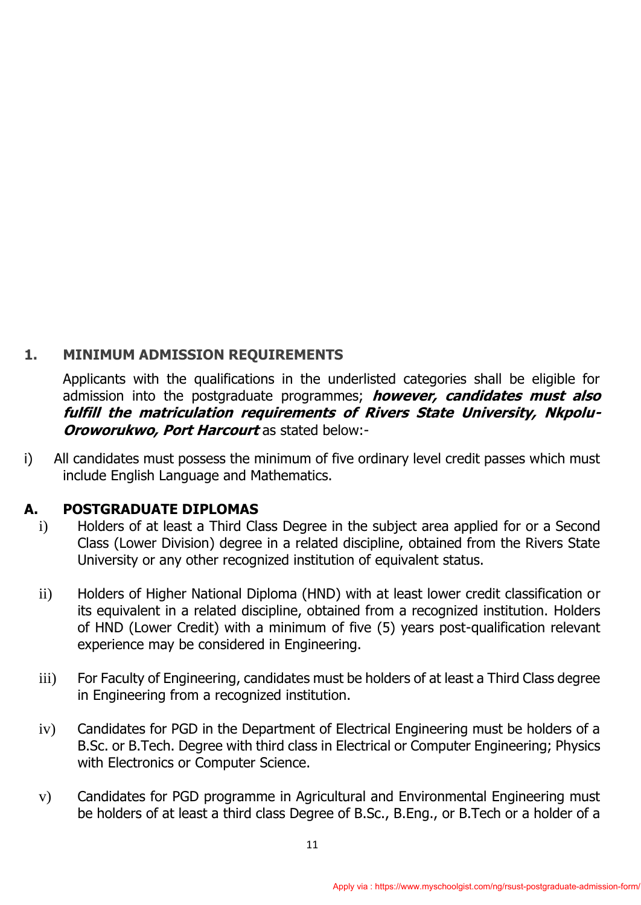## **1. MINIMUM ADMISSION REQUIREMENTS**

Applicants with the qualifications in the underlisted categories shall be eligible for admission into the postgraduate programmes; **however, candidates must also fulfill the matriculation requirements of Rivers State University, Nkpolu-Oroworukwo, Port Harcourt** as stated below:-

i) All candidates must possess the minimum of five ordinary level credit passes which must include English Language and Mathematics.

#### **A. POSTGRADUATE DIPLOMAS**

- i) Holders of at least a Third Class Degree in the subject area applied for or a Second Class (Lower Division) degree in a related discipline, obtained from the Rivers State University or any other recognized institution of equivalent status.
- ii) Holders of Higher National Diploma (HND) with at least lower credit classification or its equivalent in a related discipline, obtained from a recognized institution. Holders of HND (Lower Credit) with a minimum of five (5) years post-qualification relevant experience may be considered in Engineering.
- iii) For Faculty of Engineering, candidates must be holders of at least a Third Class degree in Engineering from a recognized institution.
- iv) Candidates for PGD in the Department of Electrical Engineering must be holders of a B.Sc. or B.Tech. Degree with third class in Electrical or Computer Engineering; Physics with Electronics or Computer Science.
- v) Candidates for PGD programme in Agricultural and Environmental Engineering must be holders of at least a third class Degree of B.Sc., B.Eng., or B.Tech or a holder of a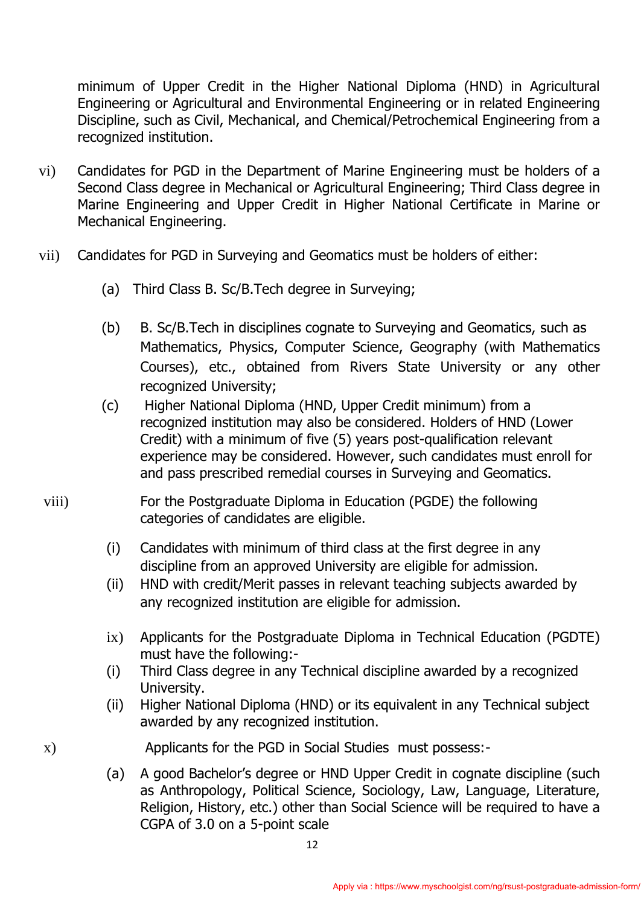minimum of Upper Credit in the Higher National Diploma (HND) in Agricultural Engineering or Agricultural and Environmental Engineering or in related Engineering Discipline, such as Civil, Mechanical, and Chemical/Petrochemical Engineering from a recognized institution.

- vi) Candidates for PGD in the Department of Marine Engineering must be holders of a Second Class degree in Mechanical or Agricultural Engineering; Third Class degree in Marine Engineering and Upper Credit in Higher National Certificate in Marine or Mechanical Engineering.
- vii) Candidates for PGD in Surveying and Geomatics must be holders of either:
	- (a) Third Class B. Sc/B.Tech degree in Surveying;
	- (b) B. Sc/B.Tech in disciplines cognate to Surveying and Geomatics, such as Mathematics, Physics, Computer Science, Geography (with Mathematics Courses), etc., obtained from Rivers State University or any other recognized University;
	- (c) Higher National Diploma (HND, Upper Credit minimum) from a recognized institution may also be considered. Holders of HND (Lower Credit) with a minimum of five (5) years post-qualification relevant experience may be considered. However, such candidates must enroll for and pass prescribed remedial courses in Surveying and Geomatics.
- viii) For the Postgraduate Diploma in Education (PGDE) the following categories of candidates are eligible.
	- (i) Candidates with minimum of third class at the first degree in any discipline from an approved University are eligible for admission.
	- (ii) HND with credit/Merit passes in relevant teaching subjects awarded by any recognized institution are eligible for admission.
	- ix) Applicants for the Postgraduate Diploma in Technical Education (PGDTE) must have the following:-
	- (i) Third Class degree in any Technical discipline awarded by a recognized University.
	- (ii) Higher National Diploma (HND) or its equivalent in any Technical subject awarded by any recognized institution.

x) Applicants for the PGD in Social Studies must possess:-

(a) A good Bachelor's degree or HND Upper Credit in cognate discipline (such as Anthropology, Political Science, Sociology, Law, Language, Literature, Religion, History, etc.) other than Social Science will be required to have a CGPA of 3.0 on a 5-point scale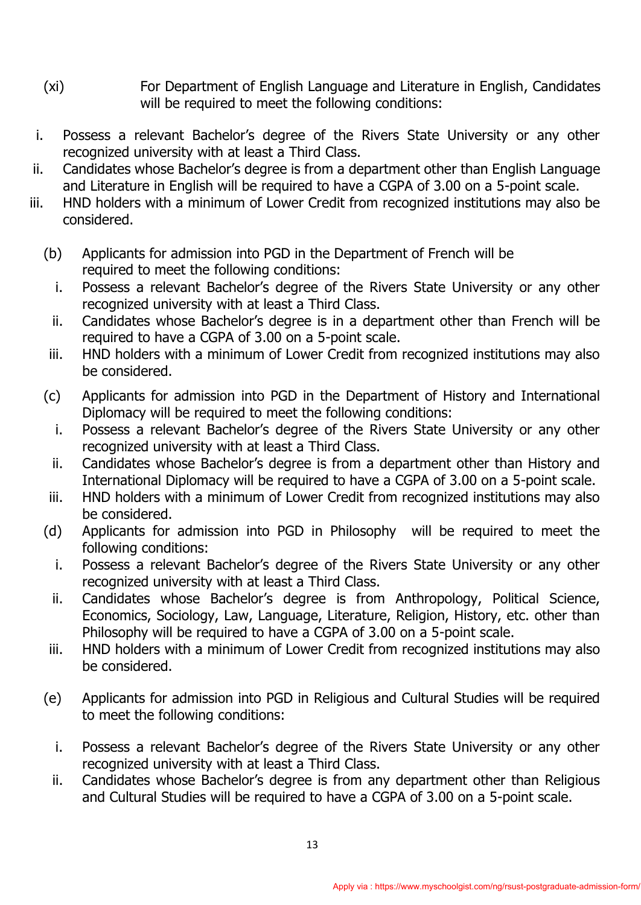- (xi)For Department of English Language and Literature in English, Candidates will be required to meet the following conditions:
- i. Possess a relevant Bachelor's degree of the Rivers State University or any other recognized university with at least a Third Class.
- ii. Candidates whose Bachelor's degree is from a department other than English Language and Literature in English will be required to have a CGPA of 3.00 on a 5-point scale.
- iii. HND holders with a minimum of Lower Credit from recognized institutions may also be considered.
	- (b) Applicants for admission into PGD in the Department of French will be required to meet the following conditions:
		- i. Possess a relevant Bachelor's degree of the Rivers State University or any other recognized university with at least a Third Class.
		- ii. Candidates whose Bachelor's degree is in a department other than French will be required to have a CGPA of 3.00 on a 5-point scale.
	- iii. HND holders with a minimum of Lower Credit from recognized institutions may also be considered.
	- (c) Applicants for admission into PGD in the Department of History and International Diplomacy will be required to meet the following conditions:
		- i. Possess a relevant Bachelor's degree of the Rivers State University or any other recognized university with at least a Third Class.
		- ii. Candidates whose Bachelor's degree is from a department other than History and International Diplomacy will be required to have a CGPA of 3.00 on a 5-point scale.
	- iii. HND holders with a minimum of Lower Credit from recognized institutions may also be considered.
	- (d) Applicants for admission into PGD in Philosophy will be required to meet the following conditions:
		- i. Possess a relevant Bachelor's degree of the Rivers State University or any other recognized university with at least a Third Class.
		- ii. Candidates whose Bachelor's degree is from Anthropology, Political Science, Economics, Sociology, Law, Language, Literature, Religion, History, etc. other than Philosophy will be required to have a CGPA of 3.00 on a 5-point scale.
	- iii. HND holders with a minimum of Lower Credit from recognized institutions may also be considered.
	- (e) Applicants for admission into PGD in Religious and Cultural Studies will be required to meet the following conditions:
		- i. Possess a relevant Bachelor's degree of the Rivers State University or any other recognized university with at least a Third Class.
		- ii. Candidates whose Bachelor's degree is from any department other than Religious and Cultural Studies will be required to have a CGPA of 3.00 on a 5-point scale.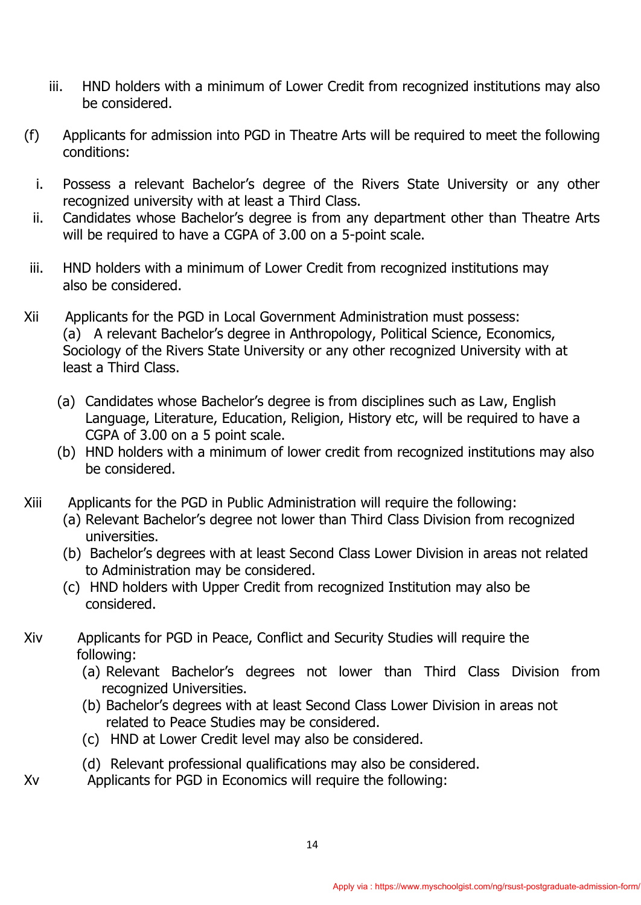- iii. HND holders with a minimum of Lower Credit from recognized institutions may also be considered.
- (f) Applicants for admission into PGD in Theatre Arts will be required to meet the following conditions:
	- i. Possess a relevant Bachelor's degree of the Rivers State University or any other recognized university with at least a Third Class.
	- ii. Candidates whose Bachelor's degree is from any department other than Theatre Arts will be required to have a CGPA of 3.00 on a 5-point scale.
- iii. HND holders with a minimum of Lower Credit from recognized institutions may also be considered.
- Xii Applicants for the PGD in Local Government Administration must possess: (a) A relevant Bachelor's degree in Anthropology, Political Science, Economics, Sociology of the Rivers State University or any other recognized University with at least a Third Class.
	- (a) Candidates whose Bachelor's degree is from disciplines such as Law, English Language, Literature, Education, Religion, History etc, will be required to have a CGPA of 3.00 on a 5 point scale.
	- (b) HND holders with a minimum of lower credit from recognized institutions may also be considered.
- Xiii Applicants for the PGD in Public Administration will require the following:
	- (a) Relevant Bachelor's degree not lower than Third Class Division from recognized universities.
	- (b) Bachelor's degrees with at least Second Class Lower Division in areas not related to Administration may be considered.
	- (c) HND holders with Upper Credit from recognized Institution may also be considered.
- Xiv Applicants for PGD in Peace, Conflict and Security Studies will require the following:
	- (a) Relevant Bachelor's degrees not lower than Third Class Division from recognized Universities.
	- (b) Bachelor's degrees with at least Second Class Lower Division in areas not related to Peace Studies may be considered.
	- (c) HND at Lower Credit level may also be considered.
	- (d) Relevant professional qualifications may also be considered.
- Xv Applicants for PGD in Economics will require the following: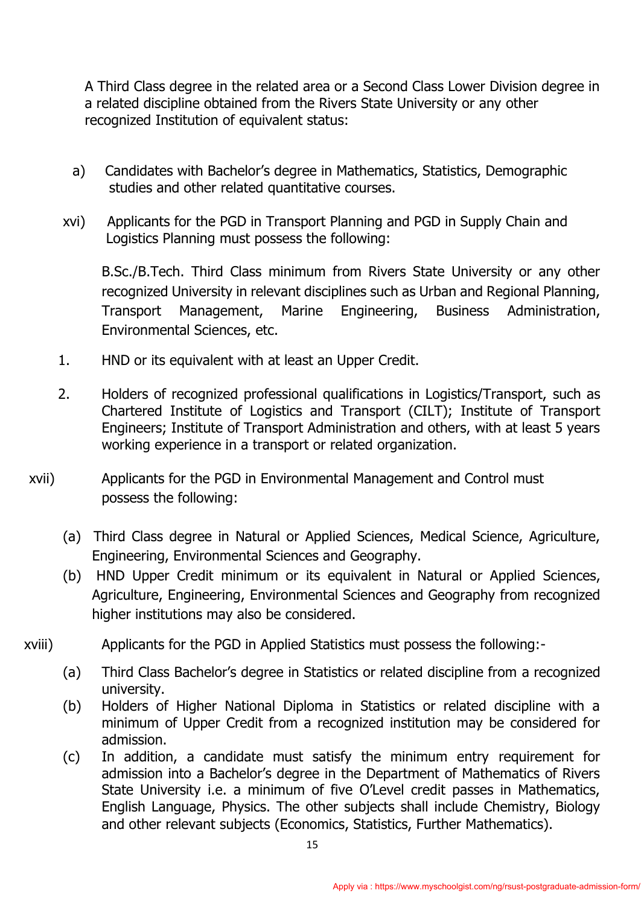A Third Class degree in the related area or a Second Class Lower Division degree in a related discipline obtained from the Rivers State University or any other recognized Institution of equivalent status:

- a) Candidates with Bachelor's degree in Mathematics, Statistics, Demographic studies and other related quantitative courses.
- xvi) Applicants for the PGD in Transport Planning and PGD in Supply Chain and Logistics Planning must possess the following:

 B.Sc./B.Tech. Third Class minimum from Rivers State University or any other recognized University in relevant disciplines such as Urban and Regional Planning, Transport Management, Marine Engineering, Business Administration, Environmental Sciences, etc.

- 1. HND or its equivalent with at least an Upper Credit.
- 2. Holders of recognized professional qualifications in Logistics/Transport, such as Chartered Institute of Logistics and Transport (CILT); Institute of Transport Engineers; Institute of Transport Administration and others, with at least 5 years working experience in a transport or related organization.
- xvii) Applicants for the PGD in Environmental Management and Control must possess the following:
	- (a) Third Class degree in Natural or Applied Sciences, Medical Science, Agriculture, Engineering, Environmental Sciences and Geography.
	- (b) HND Upper Credit minimum or its equivalent in Natural or Applied Sciences, Agriculture, Engineering, Environmental Sciences and Geography from recognized higher institutions may also be considered.
- xviii) Applicants for the PGD in Applied Statistics must possess the following:-
	- (a) Third Class Bachelor's degree in Statistics or related discipline from a recognized university.
	- (b) Holders of Higher National Diploma in Statistics or related discipline with a minimum of Upper Credit from a recognized institution may be considered for admission.
	- (c) In addition, a candidate must satisfy the minimum entry requirement for admission into a Bachelor's degree in the Department of Mathematics of Rivers State University i.e. a minimum of five O'Level credit passes in Mathematics, English Language, Physics. The other subjects shall include Chemistry, Biology and other relevant subjects (Economics, Statistics, Further Mathematics).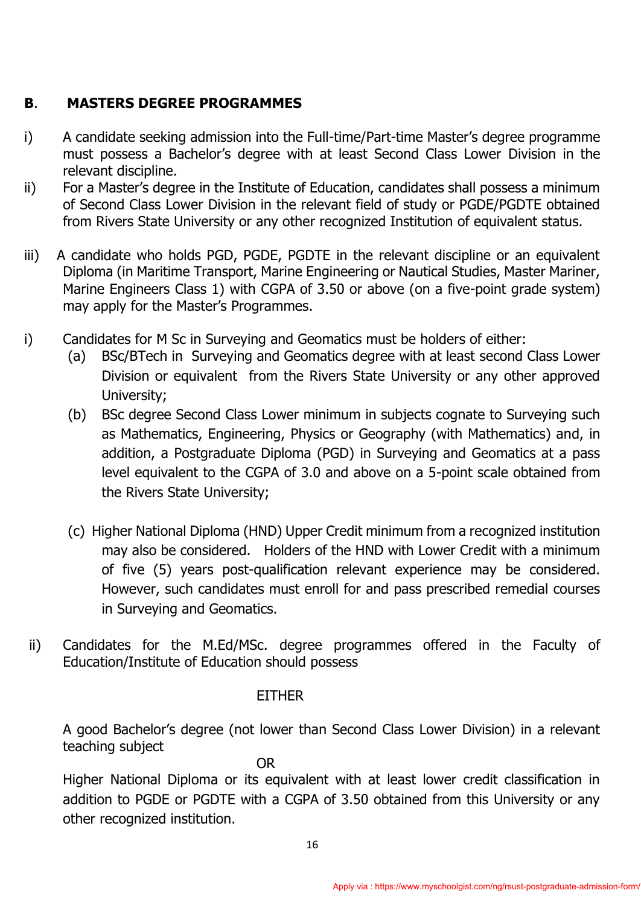## **B**. **MASTERS DEGREE PROGRAMMES**

- i) A candidate seeking admission into the Full-time/Part-time Master's degree programme must possess a Bachelor's degree with at least Second Class Lower Division in the relevant discipline.
- ii) For a Master's degree in the Institute of Education, candidates shall possess a minimum of Second Class Lower Division in the relevant field of study or PGDE/PGDTE obtained from Rivers State University or any other recognized Institution of equivalent status.
- iii) A candidate who holds PGD, PGDE, PGDTE in the relevant discipline or an equivalent Diploma (in Maritime Transport, Marine Engineering or Nautical Studies, Master Mariner, Marine Engineers Class 1) with CGPA of 3.50 or above (on a five-point grade system) may apply for the Master's Programmes.
- i) Candidates for M Sc in Surveying and Geomatics must be holders of either:
	- (a) BSc/BTech in Surveying and Geomatics degree with at least second Class Lower Division or equivalent from the Rivers State University or any other approved University;
	- (b) BSc degree Second Class Lower minimum in subjects cognate to Surveying such as Mathematics, Engineering, Physics or Geography (with Mathematics) and, in addition, a Postgraduate Diploma (PGD) in Surveying and Geomatics at a pass level equivalent to the CGPA of 3.0 and above on a 5-point scale obtained from the Rivers State University;
	- (c) Higher National Diploma (HND) Upper Credit minimum from a recognized institution may also be considered. Holders of the HND with Lower Credit with a minimum of five (5) years post-qualification relevant experience may be considered. However, such candidates must enroll for and pass prescribed remedial courses in Surveying and Geomatics.
- ii) Candidates for the M.Ed/MSc. degree programmes offered in the Faculty of Education/Institute of Education should possess

#### EITHER

A good Bachelor's degree (not lower than Second Class Lower Division) in a relevant teaching subject

OR

Higher National Diploma or its equivalent with at least lower credit classification in addition to PGDE or PGDTE with a CGPA of 3.50 obtained from this University or any other recognized institution.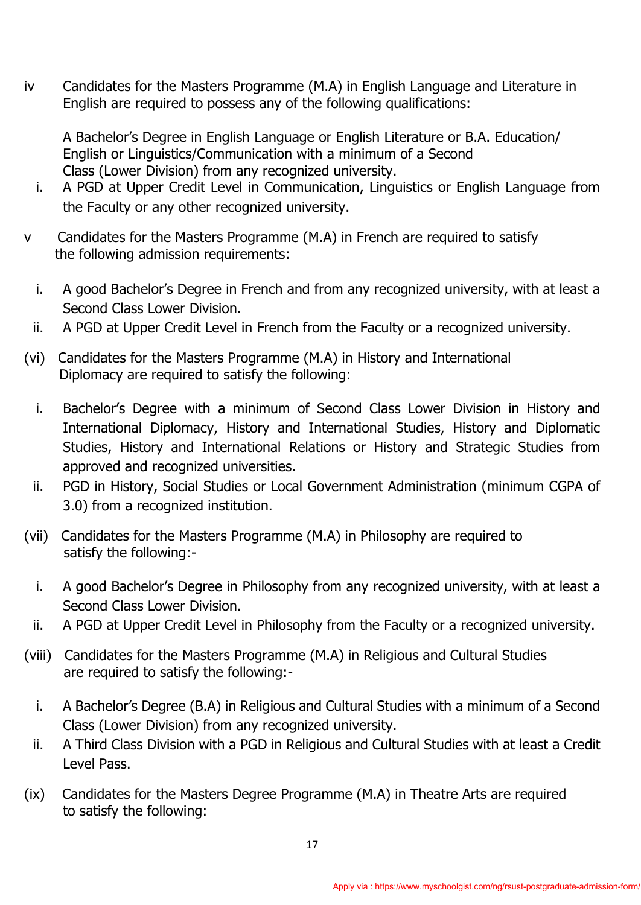iv Candidates for the Masters Programme (M.A) in English Language and Literature in English are required to possess any of the following qualifications:

A Bachelor's Degree in English Language or English Literature or B.A. Education/ English or Linguistics/Communication with a minimum of a Second Class (Lower Division) from any recognized university.

- i. A PGD at Upper Credit Level in Communication, Linguistics or English Language from the Faculty or any other recognized university.
- v Candidates for the Masters Programme (M.A) in French are required to satisfy the following admission requirements:
	- i. A good Bachelor's Degree in French and from any recognized university, with at least a Second Class Lower Division.
	- ii. A PGD at Upper Credit Level in French from the Faculty or a recognized university.
- (vi) Candidates for the Masters Programme (M.A) in History and International Diplomacy are required to satisfy the following:
	- i. Bachelor's Degree with a minimum of Second Class Lower Division in History and International Diplomacy, History and International Studies, History and Diplomatic Studies, History and International Relations or History and Strategic Studies from approved and recognized universities.
	- ii. PGD in History, Social Studies or Local Government Administration (minimum CGPA of 3.0) from a recognized institution.
- (vii) Candidates for the Masters Programme (M.A) in Philosophy are required to satisfy the following:
	- i. A good Bachelor's Degree in Philosophy from any recognized university, with at least a Second Class Lower Division.
	- ii. A PGD at Upper Credit Level in Philosophy from the Faculty or a recognized university.
- (viii) Candidates for the Masters Programme (M.A) in Religious and Cultural Studies are required to satisfy the following:
	- i. A Bachelor's Degree (B.A) in Religious and Cultural Studies with a minimum of a Second Class (Lower Division) from any recognized university.
	- ii. A Third Class Division with a PGD in Religious and Cultural Studies with at least a Credit Level Pass.
- (ix) Candidates for the Masters Degree Programme (M.A) in Theatre Arts are required to satisfy the following: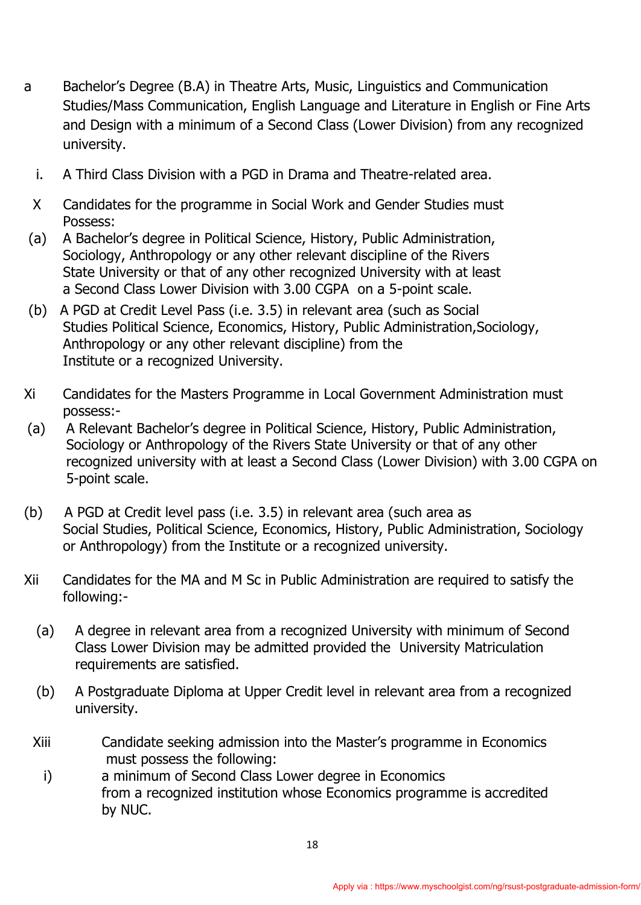- a Bachelor's Degree (B.A) in Theatre Arts, Music, Linguistics and Communication Studies/Mass Communication, English Language and Literature in English or Fine Arts and Design with a minimum of a Second Class (Lower Division) from any recognized university.
	- i. A Third Class Division with a PGD in Drama and Theatre-related area.
- X Candidates for the programme in Social Work and Gender Studies must Possess:
- (a) A Bachelor's degree in Political Science, History, Public Administration, Sociology, Anthropology or any other relevant discipline of the Rivers State University or that of any other recognized University with at least a Second Class Lower Division with 3.00 CGPA on a 5-point scale.
- (b) A PGD at Credit Level Pass (i.e. 3.5) in relevant area (such as Social Studies Political Science, Economics, History, Public Administration,Sociology, Anthropology or any other relevant discipline) from the Institute or a recognized University.
- Xi Candidates for the Masters Programme in Local Government Administration must possess:-
- (a) A Relevant Bachelor's degree in Political Science, History, Public Administration, Sociology or Anthropology of the Rivers State University or that of any other recognized university with at least a Second Class (Lower Division) with 3.00 CGPA on 5-point scale.
- (b) A PGD at Credit level pass (i.e. 3.5) in relevant area (such area as Social Studies, Political Science, Economics, History, Public Administration, Sociology or Anthropology) from the Institute or a recognized university.
- Xii Candidates for the MA and M Sc in Public Administration are required to satisfy the following:-
	- (a) A degree in relevant area from a recognized University with minimum of Second Class Lower Division may be admitted provided the University Matriculation requirements are satisfied.
	- (b) A Postgraduate Diploma at Upper Credit level in relevant area from a recognized university.
	- Xiii Candidate seeking admission into the Master's programme in Economics must possess the following:
		- i) a minimum of Second Class Lower degree in Economics from a recognized institution whose Economics programme is accredited by NUC.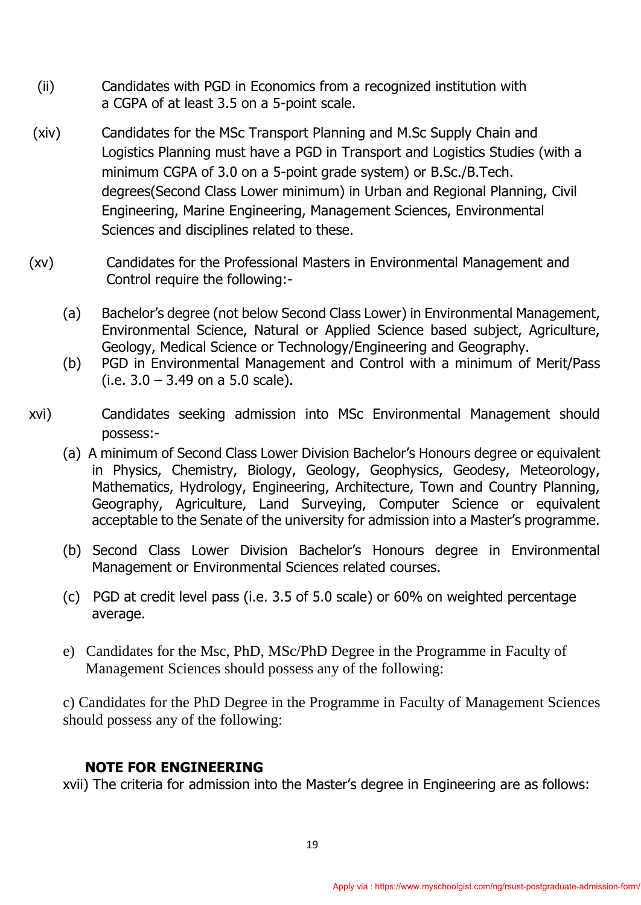- (ii) Candidates with PGD in Economics from a recognized institution with a CGPA of at least 3.5 on a 5-point scale.
- (xiv) Candidates for the MSc Transport Planning and M.Sc Supply Chain and Logistics Planning must have a PGD in Transport and Logistics Studies (with a minimum CGPA of 3.0 on a 5-point grade system) or B.Sc./B.Tech. degrees(Second Class Lower minimum) in Urban and Regional Planning, Civil Engineering, Marine Engineering, Management Sciences, Environmental Sciences and disciplines related to these.
- (xv) Candidates for the Professional Masters in Environmental Management and Control require the following:-
	- (a) Bachelor's degree (not below Second Class Lower) in Environmental Management, Environmental Science, Natural or Applied Science based subject, Agriculture, Geology, Medical Science or Technology/Engineering and Geography.
	- (b) PGD in Environmental Management and Control with a minimum of Merit/Pass (i.e.  $3.0 - 3.49$  on a 5.0 scale).
- xvi) Candidates seeking admission into MSc Environmental Management should possess:-
	- (a) A minimum of Second Class Lower Division Bachelor's Honours degree or equivalent in Physics, Chemistry, Biology, Geology, Geophysics, Geodesy, Meteorology, Mathematics, Hydrology, Engineering, Architecture, Town and Country Planning, Geography, Agriculture, Land Surveying, Computer Science or equivalent acceptable to the Senate of the university for admission into a Master's programme.
	- (b) Second Class Lower Division Bachelor's Honours degree in Environmental Management or Environmental Sciences related courses.
	- (c) PGD at credit level pass (i.e. 3.5 of 5.0 scale) or 60% on weighted percentage average.
	- e) Candidates for the Msc, PhD, MSc/PhD Degree in the Programme in Faculty of Management Sciences should possess any of the following:

c) Candidates for the PhD Degree in the Programme in Faculty of Management Sciences should possess any of the following:

## **NOTE FOR ENGINEERING**

xvii) The criteria for admission into the Master's degree in Engineering are as follows: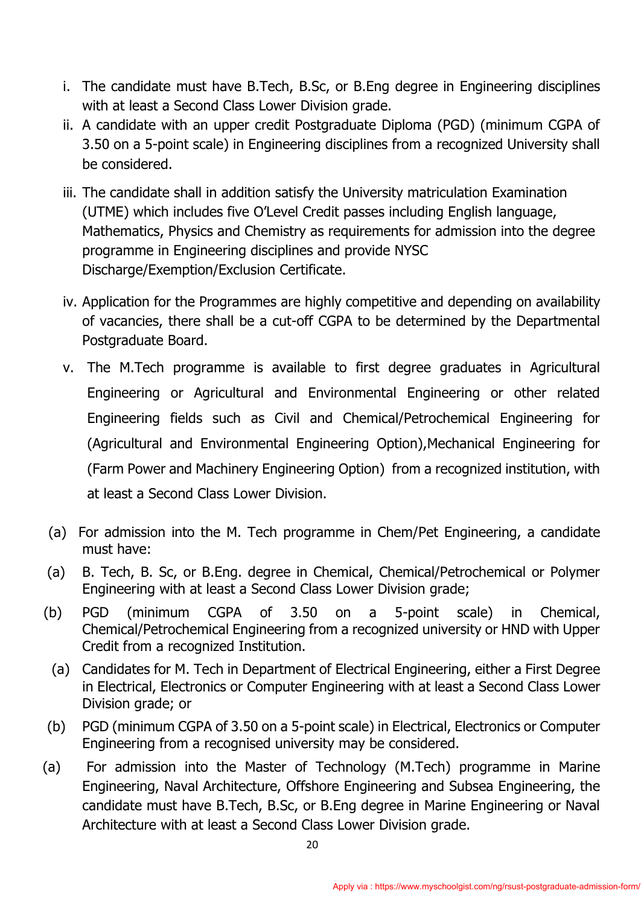- i. The candidate must have B.Tech, B.Sc, or B.Eng degree in Engineering disciplines with at least a Second Class Lower Division grade.
- ii. A candidate with an upper credit Postgraduate Diploma (PGD) (minimum CGPA of 3.50 on a 5-point scale) in Engineering disciplines from a recognized University shall be considered.
- iii. The candidate shall in addition satisfy the University matriculation Examination (UTME) which includes five O'Level Credit passes including English language, Mathematics, Physics and Chemistry as requirements for admission into the degree programme in Engineering disciplines and provide NYSC Discharge/Exemption/Exclusion Certificate.
- iv. Application for the Programmes are highly competitive and depending on availability of vacancies, there shall be a cut-off CGPA to be determined by the Departmental Postgraduate Board.
- v. The M.Tech programme is available to first degree graduates in Agricultural Engineering or Agricultural and Environmental Engineering or other related Engineering fields such as Civil and Chemical/Petrochemical Engineering for (Agricultural and Environmental Engineering Option),Mechanical Engineering for (Farm Power and Machinery Engineering Option) from a recognized institution, with at least a Second Class Lower Division.
- (a) For admission into the M. Tech programme in Chem/Pet Engineering, a candidate must have:
- (a) B. Tech, B. Sc, or B.Eng. degree in Chemical, Chemical/Petrochemical or Polymer Engineering with at least a Second Class Lower Division grade;
- (b) PGD (minimum CGPA of 3.50 on a 5-point scale) in Chemical, Chemical/Petrochemical Engineering from a recognized university or HND with Upper Credit from a recognized Institution.
- (a) Candidates for M. Tech in Department of Electrical Engineering, either a First Degree in Electrical, Electronics or Computer Engineering with at least a Second Class Lower Division grade; or
- (b) PGD (minimum CGPA of 3.50 on a 5-point scale) in Electrical, Electronics or Computer Engineering from a recognised university may be considered.
- (a) For admission into the Master of Technology (M.Tech) programme in Marine Engineering, Naval Architecture, Offshore Engineering and Subsea Engineering, the candidate must have B.Tech, B.Sc, or B.Eng degree in Marine Engineering or Naval Architecture with at least a Second Class Lower Division grade.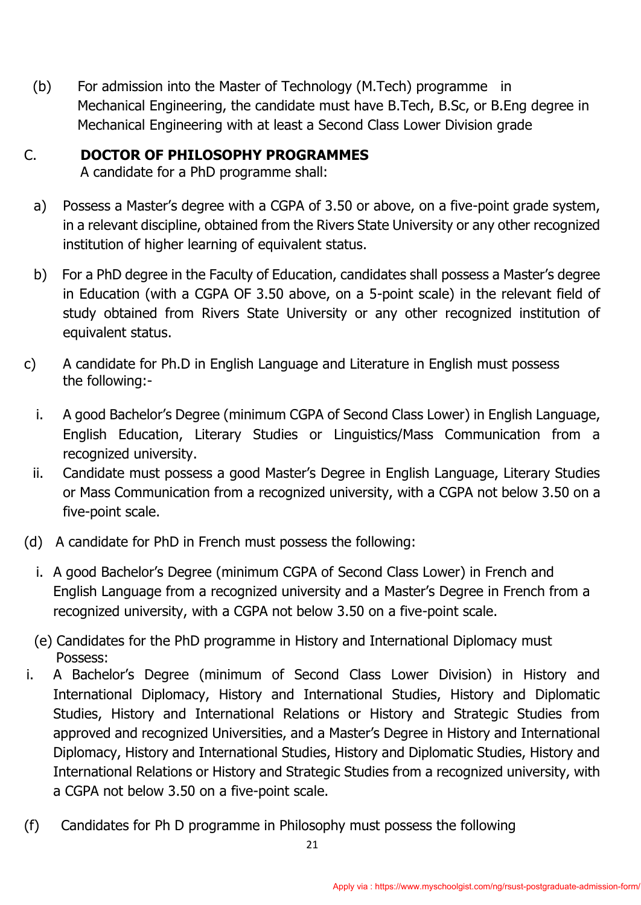(b) For admission into the Master of Technology (M.Tech) programme in Mechanical Engineering, the candidate must have B.Tech, B.Sc, or B.Eng degree in Mechanical Engineering with at least a Second Class Lower Division grade

## C. **DOCTOR OF PHILOSOPHY PROGRAMMES**

A candidate for a PhD programme shall:

- a) Possess a Master's degree with a CGPA of 3.50 or above, on a five-point grade system, in a relevant discipline, obtained from the Rivers State University or any other recognized institution of higher learning of equivalent status.
- b) For a PhD degree in the Faculty of Education, candidates shall possess a Master's degree in Education (with a CGPA OF 3.50 above, on a 5-point scale) in the relevant field of study obtained from Rivers State University or any other recognized institution of equivalent status.
- c) A candidate for Ph.D in English Language and Literature in English must possess the following:
	- i. A good Bachelor's Degree (minimum CGPA of Second Class Lower) in English Language, English Education, Literary Studies or Linguistics/Mass Communication from a recognized university.
	- ii. Candidate must possess a good Master's Degree in English Language, Literary Studies or Mass Communication from a recognized university, with a CGPA not below 3.50 on a five-point scale.
- (d) A candidate for PhD in French must possess the following:
	- i. A good Bachelor's Degree (minimum CGPA of Second Class Lower) in French and English Language from a recognized university and a Master's Degree in French from a recognized university, with a CGPA not below 3.50 on a five-point scale.
	- (e) Candidates for the PhD programme in History and International Diplomacy must Possess:
- i. A Bachelor's Degree (minimum of Second Class Lower Division) in History and International Diplomacy, History and International Studies, History and Diplomatic Studies, History and International Relations or History and Strategic Studies from approved and recognized Universities, and a Master's Degree in History and International Diplomacy, History and International Studies, History and Diplomatic Studies, History and International Relations or History and Strategic Studies from a recognized university, with a CGPA not below 3.50 on a five-point scale.
- (f) Candidates for Ph D programme in Philosophy must possess the following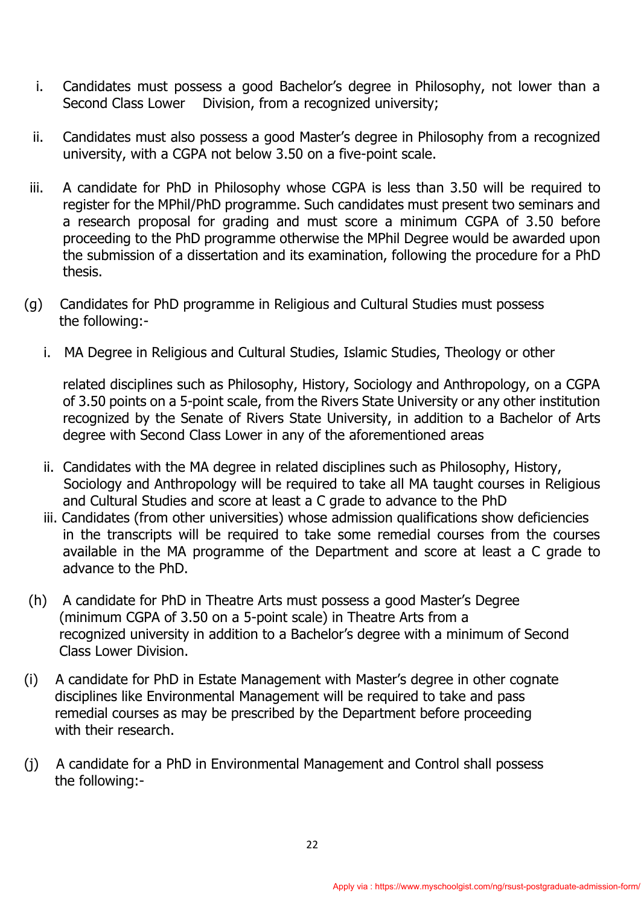- i. Candidates must possess a good Bachelor's degree in Philosophy, not lower than a Second Class Lower Division, from a recognized university;
- ii. Candidates must also possess a good Master's degree in Philosophy from a recognized university, with a CGPA not below 3.50 on a five-point scale.
- iii. A candidate for PhD in Philosophy whose CGPA is less than 3.50 will be required to register for the MPhil/PhD programme. Such candidates must present two seminars and a research proposal for grading and must score a minimum CGPA of 3.50 before proceeding to the PhD programme otherwise the MPhil Degree would be awarded upon the submission of a dissertation and its examination, following the procedure for a PhD thesis.
- (g) Candidates for PhD programme in Religious and Cultural Studies must possess the following:
	- i. MA Degree in Religious and Cultural Studies, Islamic Studies, Theology or other

related disciplines such as Philosophy, History, Sociology and Anthropology, on a CGPA of 3.50 points on a 5-point scale, from the Rivers State University or any other institution recognized by the Senate of Rivers State University, in addition to a Bachelor of Arts degree with Second Class Lower in any of the aforementioned areas

- ii. Candidates with the MA degree in related disciplines such as Philosophy, History, Sociology and Anthropology will be required to take all MA taught courses in Religious and Cultural Studies and score at least a C grade to advance to the PhD
- iii. Candidates (from other universities) whose admission qualifications show deficiencies in the transcripts will be required to take some remedial courses from the courses available in the MA programme of the Department and score at least a C grade to advance to the PhD.
- (h) A candidate for PhD in Theatre Arts must possess a good Master's Degree (minimum CGPA of 3.50 on a 5-point scale) in Theatre Arts from a recognized university in addition to a Bachelor's degree with a minimum of Second Class Lower Division.
- (i) A candidate for PhD in Estate Management with Master's degree in other cognate disciplines like Environmental Management will be required to take and pass remedial courses as may be prescribed by the Department before proceeding with their research.
- (j) A candidate for a PhD in Environmental Management and Control shall possess the following:-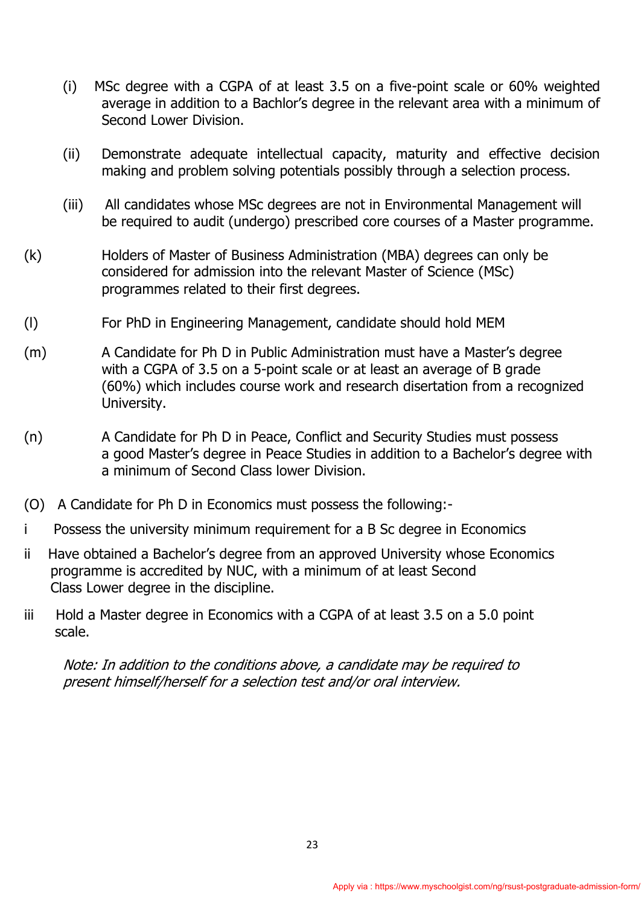- (i) MSc degree with a CGPA of at least 3.5 on a five-point scale or 60% weighted average in addition to a Bachlor's degree in the relevant area with a minimum of Second Lower Division.
- (ii) Demonstrate adequate intellectual capacity, maturity and effective decision making and problem solving potentials possibly through a selection process.
- (iii) All candidates whose MSc degrees are not in Environmental Management will be required to audit (undergo) prescribed core courses of a Master programme.
- (k) Holders of Master of Business Administration (MBA) degrees can only be considered for admission into the relevant Master of Science (MSc) programmes related to their first degrees.
- (l) For PhD in Engineering Management, candidate should hold MEM
- (m) A Candidate for Ph D in Public Administration must have a Master's degree with a CGPA of 3.5 on a 5-point scale or at least an average of B grade (60%) which includes course work and research disertation from a recognized University.
- (n) A Candidate for Ph D in Peace, Conflict and Security Studies must possess a good Master's degree in Peace Studies in addition to a Bachelor's degree with a minimum of Second Class lower Division.
- (O) A Candidate for Ph D in Economics must possess the following:-
- i Possess the university minimum requirement for a B Sc degree in Economics
- ii Have obtained a Bachelor's degree from an approved University whose Economics programme is accredited by NUC, with a minimum of at least Second Class Lower degree in the discipline.
- iii Hold a Master degree in Economics with a CGPA of at least 3.5 on a 5.0 point scale.

Note: In addition to the conditions above, a candidate may be required to present himself/herself for a selection test and/or oral interview.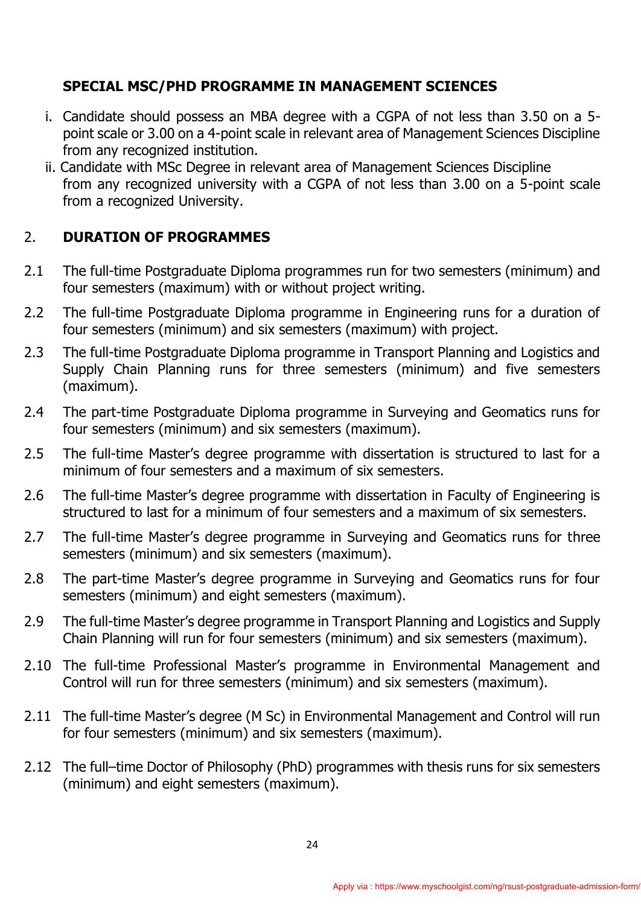## **SPECIAL MSC/PHD PROGRAMME IN MANAGEMENT SCIENCES**

- i. Candidate should possess an MBA degree with a CGPA of not less than 3.50 on a 5 point scale or 3.00 on a 4-point scale in relevant area of Management Sciences Discipline from any recognized institution.
- ii. Candidate with MSc Degree in relevant area of Management Sciences Discipline from any recognized university with a CGPA of not less than 3.00 on a 5-point scale from a recognized University.

## 2. **DURATION OF PROGRAMMES**

- 2.1 The full-time Postgraduate Diploma programmes run for two semesters (minimum) and four semesters (maximum) with or without project writing.
- 2.2 The full-time Postgraduate Diploma programme in Engineering runs for a duration of four semesters (minimum) and six semesters (maximum) with project.
- 2.3 The full-time Postgraduate Diploma programme in Transport Planning and Logistics and Supply Chain Planning runs for three semesters (minimum) and five semesters (maximum).
- 2.4 The part-time Postgraduate Diploma programme in Surveying and Geomatics runs for four semesters (minimum) and six semesters (maximum).
- 2.5 The full-time Master's degree programme with dissertation is structured to last for a minimum of four semesters and a maximum of six semesters.
- 2.6 The full-time Master's degree programme with dissertation in Faculty of Engineering is structured to last for a minimum of four semesters and a maximum of six semesters.
- 2.7 The full-time Master's degree programme in Surveying and Geomatics runs for three semesters (minimum) and six semesters (maximum).
- 2.8 The part-time Master's degree programme in Surveying and Geomatics runs for four semesters (minimum) and eight semesters (maximum).
- 2.9 The full-time Master's degree programme in Transport Planning and Logistics and Supply Chain Planning will run for four semesters (minimum) and six semesters (maximum).
- 2.10 The full-time Professional Master's programme in Environmental Management and Control will run for three semesters (minimum) and six semesters (maximum).
- 2.11 The full-time Master's degree (M Sc) in Environmental Management and Control will run for four semesters (minimum) and six semesters (maximum).
- 2.12 The full–time Doctor of Philosophy (PhD) programmes with thesis runs for six semesters (minimum) and eight semesters (maximum).